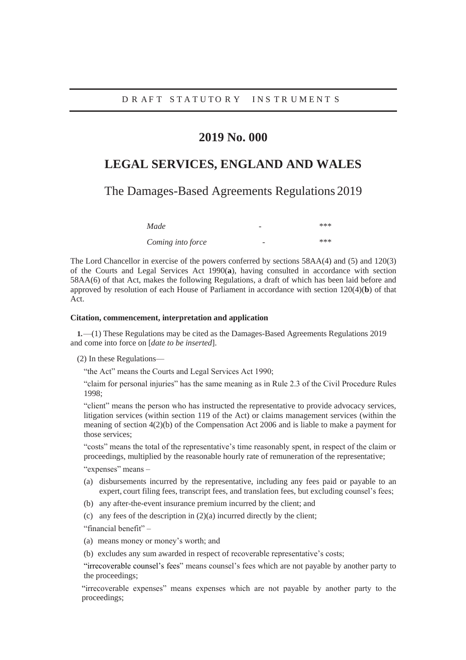## **2019 No. 000**

# **LEGAL SERVICES, ENGLAND AND WALES**

The Damages-Based Agreements Regulations 2019

| Made              |   | *** |
|-------------------|---|-----|
| Coming into force | - | *** |

The Lord Chancellor in exercise of the powers conferred by sections 58AA(4) and (5) and 120(3) of the Courts and Legal Services Act 1990(**a**), having consulted in accordance with section 58AA(6) of that Act, makes the following Regulations, a draft of which has been laid before and approved by resolution of each House of Parliament in accordance with section 120(4)(**b**) of that Act.

#### **Citation, commencement, interpretation and application**

**1.**—(1) These Regulations may be cited as the Damages-Based Agreements Regulations 2019 and come into force on [*date to be inserted*].

(2) In these Regulations—

"the Act" means the Courts and Legal Services Act 1990;

"claim for personal injuries" has the same meaning as in Rule 2.3 of the Civil Procedure Rules 1998;

"client" means the person who has instructed the representative to provide advocacy services, litigation services (within section 119 of the Act) or claims management services (within the meaning of section 4(2)(b) of the Compensation Act 2006 and is liable to make a payment for those services;

"costs" means the total of the representative's time reasonably spent, in respect of the claim or proceedings, multiplied by the reasonable hourly rate of remuneration of the representative;

"expenses" means -

- (a) disbursements incurred by the representative, including any fees paid or payable to an expert, court filing fees, transcript fees, and translation fees, but excluding counsel's fees;
- (b) any after-the-event insurance premium incurred by the client; and
- (c) any fees of the description in (2)(a) incurred directly by the client;

"financial benefit" –

- (a) means money or money's worth; and
- (b) excludes any sum awarded in respect of recoverable representative's costs;

"irrecoverable counsel's fees" means counsel's fees which are not payable by another party to the proceedings;

"irrecoverable expenses" means expenses which are not payable by another party to the proceedings;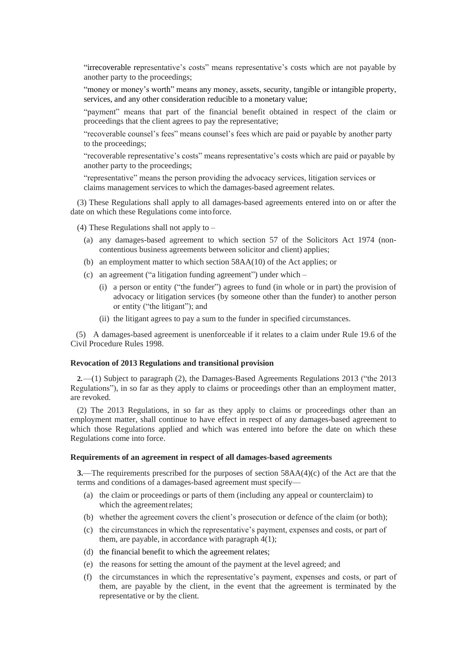"irrecoverable representative's costs" means representative's costs which are not payable by another party to the proceedings;

"money or money's worth" means any money, assets, security, tangible or intangible property, services, and any other consideration reducible to a monetary value;

"payment" means that part of the financial benefit obtained in respect of the claim or proceedings that the client agrees to pay the representative;

"recoverable counsel's fees" means counsel's fees which are paid or payable by another party to the proceedings;

"recoverable representative's costs" means representative's costs which are paid or payable by another party to the proceedings;

"representative" means the person providing the advocacy services, litigation services or claims management services to which the damages-based agreement relates.

(3) These Regulations shall apply to all damages-based agreements entered into on or after the date on which these Regulations come intoforce.

(4) These Regulations shall not apply to –

- (a) any damages-based agreement to which section 57 of the Solicitors Act 1974 (noncontentious business agreements between solicitor and client) applies;
- (b) an employment matter to which section 58AA(10) of the Act applies; or
- (c) an agreement ("a litigation funding agreement") under which
	- (i) a person or entity ("the funder") agrees to fund (in whole or in part) the provision of advocacy or litigation services (by someone other than the funder) to another person or entity ("the litigant"); and
	- (ii) the litigant agrees to pay a sum to the funder in specified circumstances.

(5) A damages-based agreement is unenforceable if it relates to a claim under Rule 19.6 of the Civil Procedure Rules 1998.

#### **Revocation of 2013 Regulations and transitional provision**

**2.**—(1) Subject to paragraph (2), the Damages-Based Agreements Regulations 2013 ("the 2013 Regulations"), in so far as they apply to claims or proceedings other than an employment matter, are revoked.

(2) The 2013 Regulations, in so far as they apply to claims or proceedings other than an employment matter, shall continue to have effect in respect of any damages-based agreement to which those Regulations applied and which was entered into before the date on which these Regulations come into force.

### **Requirements of an agreement in respect of all damages-based agreements**

**3.**—The requirements prescribed for the purposes of section 58AA(4)(c) of the Act are that the terms and conditions of a damages-based agreement must specify—

- (a) the claim or proceedings or parts of them (including any appeal or counterclaim) to which the agreement relates;
- (b) whether the agreement covers the client's prosecution or defence of the claim (or both);
- (c) the circumstances in which the representative's payment, expenses and costs, or part of them, are payable, in accordance with paragraph 4(1);
- (d) the financial benefit to which the agreement relates;
- (e) the reasons for setting the amount of the payment at the level agreed; and
- (f) the circumstances in which the representative's payment, expenses and costs, or part of them, are payable by the client, in the event that the agreement is terminated by the representative or by the client.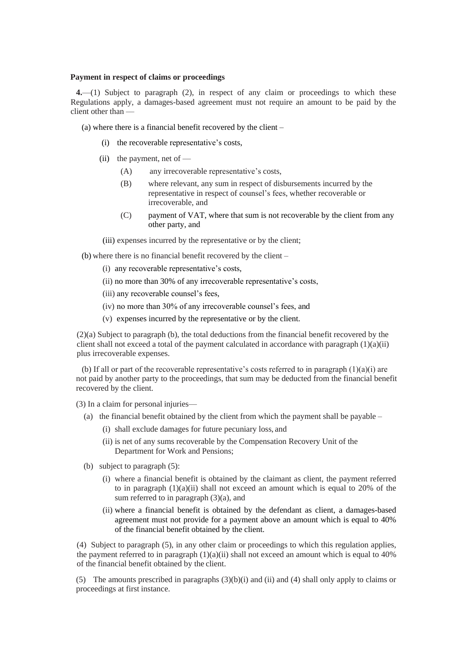### **Payment in respect of claims or proceedings**

**4.**—(1) Subject to paragraph (2), in respect of any claim or proceedings to which these Regulations apply, a damages-based agreement must not require an amount to be paid by the client other than —

(a) where there is a financial benefit recovered by the client –

- (i) the recoverable representative's costs,
- (ii) the payment, net of  $-$ 
	- (A) any irrecoverable representative's costs,
	- (B) where relevant, any sum in respect of disbursements incurred by the representative in respect of counsel's fees, whether recoverable or irrecoverable, and
	- (C) payment of VAT, where that sum is not recoverable by the client from any other party, and

(iii) expenses incurred by the representative or by the client;

(b) where there is no financial benefit recovered by the client –

- (i) any recoverable representative's costs,
- (ii) no more than 30% of any irrecoverable representative's costs,
- (iii) any recoverable counsel's fees,
- (iv) no more than 30% of any irrecoverable counsel's fees, and
- (v) expenses incurred by the representative or by the client.

(2)(a) Subject to paragraph (b), the total deductions from the financial benefit recovered by the client shall not exceed a total of the payment calculated in accordance with paragraph  $(1)(a)(ii)$ plus irrecoverable expenses.

(b) If all or part of the recoverable representative's costs referred to in paragraph  $(1)(a)(i)$  are not paid by another party to the proceedings, that sum may be deducted from the financial benefit recovered by the client.

(3) In a claim for personal injuries—

- (a) the financial benefit obtained by the client from which the payment shall be payable
	- (i) shall exclude damages for future pecuniary loss, and
	- (ii) is net of any sums recoverable by the Compensation Recovery Unit of the Department for Work and Pensions;
- (b) subject to paragraph (5):
	- (i) where a financial benefit is obtained by the claimant as client, the payment referred to in paragraph  $(1)(a)(ii)$  shall not exceed an amount which is equal to 20% of the sum referred to in paragraph  $(3)(a)$ , and
	- (ii) where a financial benefit is obtained by the defendant as client, a damages-based agreement must not provide for a payment above an amount which is equal to 40% of the financial benefit obtained by the client.

(4) Subject to paragraph (5), in any other claim or proceedings to which this regulation applies, the payment referred to in paragraph  $(1)(a)(ii)$  shall not exceed an amount which is equal to 40% of the financial benefit obtained by the client.

(5) The amounts prescribed in paragraphs (3)(b)(i) and (ii) and (4) shall only apply to claims or proceedings at first instance.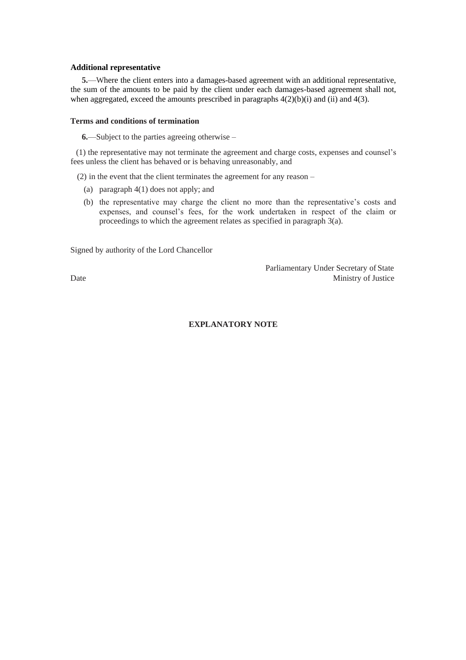### **Additional representative**

**5.**—Where the client enters into a damages-based agreement with an additional representative, the sum of the amounts to be paid by the client under each damages-based agreement shall not, when aggregated, exceed the amounts prescribed in paragraphs  $4(2)(b)(i)$  and  $(ii)$  and  $4(3)$ .

#### **Terms and conditions of termination**

**6.**—Subject to the parties agreeing otherwise –

(1) the representative may not terminate the agreement and charge costs, expenses and counsel's fees unless the client has behaved or is behaving unreasonably, and

(2) in the event that the client terminates the agreement for any reason –

- (a) paragraph 4(1) does not apply; and
- (b) the representative may charge the client no more than the representative's costs and expenses, and counsel's fees, for the work undertaken in respect of the claim or proceedings to which the agreement relates as specified in paragraph 3(a).

Signed by authority of the Lord Chancellor

Parliamentary Under Secretary of State Date Ministry of Justice

## **EXPLANATORY NOTE**